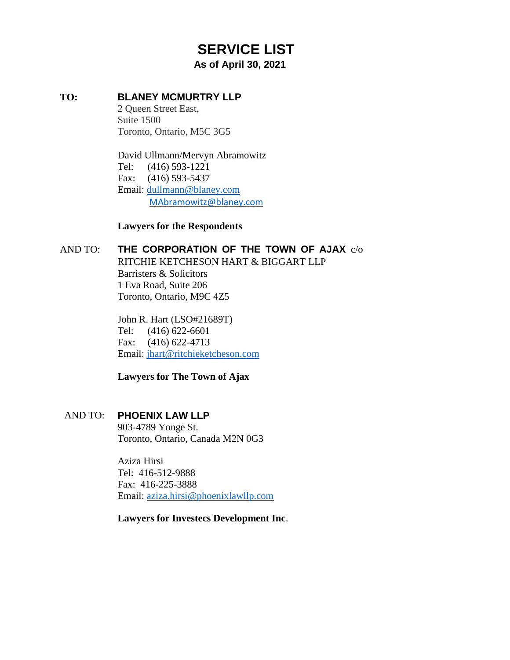# **SERVICE LIST**

## **As of April 30, 2021**

## **TO: BLANEY MCMURTRY LLP**

2 Queen Street East, Suite 1500 Toronto, Ontario, M5C 3G5

David Ullmann/Mervyn Abramowitz Tel: (416) 593-1221 Fax: (416) 593-5437 Email: dullmann@blaney.com [MAbramowitz@blaney.com](mailto:MAbramowitz@blaney.com)

#### **Lawyers for the Respondents**

#### AND TO: **THE CORPORATION OF THE TOWN OF AJAX** c/o

RITCHIE KETCHESON HART & BIGGART LLP Barristers & Solicitors 1 Eva Road, Suite 206 Toronto, Ontario, M9C 4Z5

John R. Hart (LSO#21689T) Tel: (416) 622-6601 Fax: (416) 622-4713 Email: jhart@ritchieketcheson.com

## **Lawyers for The Town of Ajax**

#### AND TO: **PHOENIX LAW LLP**

903-4789 Yonge St. Toronto, Ontario, Canada M2N 0G3

Aziza Hirsi Tel: 416-512-9888 Fax: 416-225-3888 Email: aziza.hirsi@phoenixlawllp.com

#### **Lawyers for Investecs Development Inc**.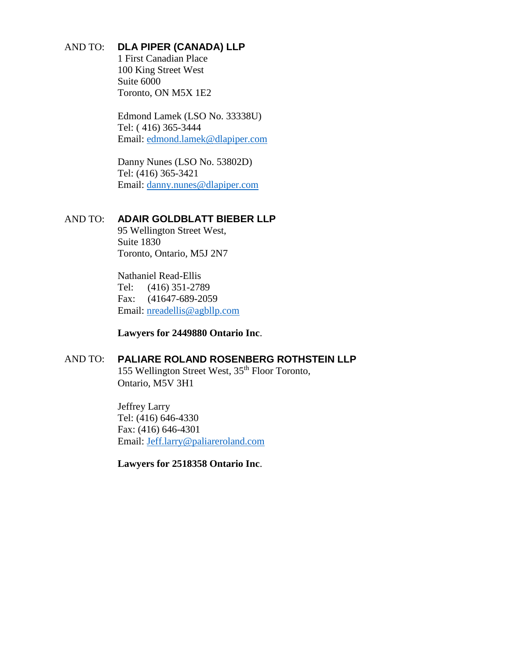# AND TO: **DLA PIPER (CANADA) LLP**

1 First Canadian Place 100 King Street West Suite 6000 Toronto, ON M5X 1E2

Edmond Lamek (LSO No. 33338U) Tel: ( 416) 365-3444 Email: [edmond.lamek@dlapiper.com](mailto:edmond.lamek@dlapiper.com)

Danny Nunes (LSO No. 53802D) Tel: (416) 365-3421 Email: [danny.nunes@dlapiper.com](mailto:danny.nunes@dlapiper.com)

## AND TO: **ADAIR GOLDBLATT BIEBER LLP**

95 Wellington Street West, Suite 1830 Toronto, Ontario, M5J 2N7

Nathaniel Read-Ellis Tel: (416) 351-2789 Fax: (41647-689-2059 Email: nreadellis@agbllp.com

#### **Lawyers for 2449880 Ontario Inc**.

## AND TO: **PALIARE ROLAND ROSENBERG ROTHSTEIN LLP**

155 Wellington Street West, 35th Floor Toronto, Ontario, M5V 3H1

Jeffrey Larry Tel: (416) 646-4330 Fax: (416) 646-4301 Email: Jeff.larry@paliareroland.com

**Lawyers for 2518358 Ontario Inc**.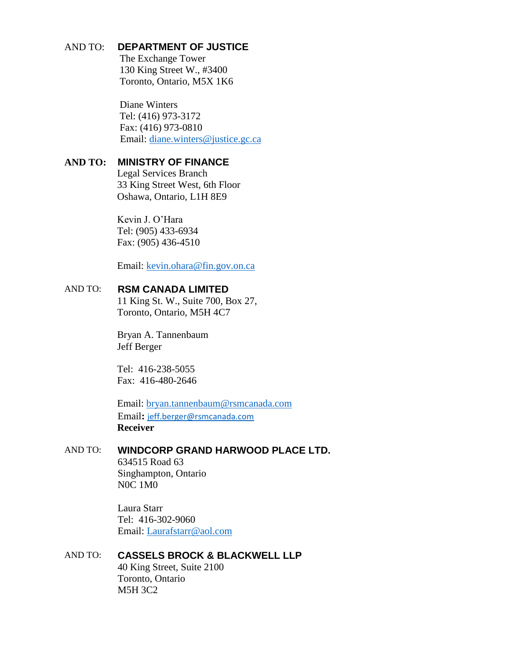#### AND TO: **DEPARTMENT OF JUSTICE**

The Exchange Tower 130 King Street W., #3400 Toronto, Ontario, M5X 1K6

Diane Winters Tel: (416) 973-3172 Fax: (416) 973-0810 Email: diane.winters@justice.gc.ca

# **AND TO: MINISTRY OF FINANCE**

Legal Services Branch 33 King Street West, 6th Floor Oshawa, Ontario, L1H 8E9

Kevin J. O'Hara Tel: (905) 433-6934 Fax: (905) 436-4510

Email: kevin.ohara@fin.gov.on.ca

## AND TO: **RSM CANADA LIMITED**

11 King St. W., Suite 700, Box 27, Toronto, Ontario, M5H 4C7

Bryan A. Tannenbaum Jeff Berger

Tel: 416-238-5055 Fax: 416-480-2646

Email: bryan.tannenbaum@rsmcanada.com Email**:** [jeff.berger@rsmcanada.com](mailto:jeff.berger@rsmcanada.com) **Receiver** 

# AND TO: **WINDCORP GRAND HARWOOD PLACE LTD.**

634515 Road 63 Singhampton, Ontario N0C 1M0

Laura Starr Tel: 416-302-9060 Email: [Laurafstarr@aol.com](mailto:Laurafstarr@aol.com)

# AND TO: **CASSELS BROCK & BLACKWELL LLP**

40 King Street, Suite 2100 Toronto, Ontario M5H 3C2